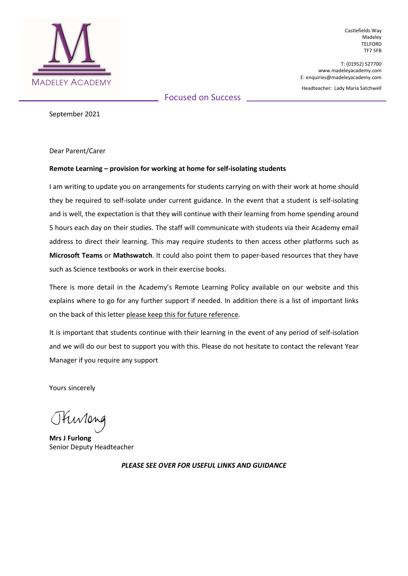

Castlefields Way Madeley TELFORD TF7 5FB

T: (01952) 527700 www.madeleyacademy.com E: enquiries@madeleyacademy.com

Headteacher: Lady Maria Satchwell

Focused on Success

September 2021

Dear Parent/Carer

## Remote Learning – provision for working at home for self-isolating students

I am writing to update you on arrangements for students carrying on with their work at home should they be required to self-isolate under current guidance. In the event that a student is self-isolating and is well, the expectation is that they will continue with their learning from home spending around 5 hours each day on their studies. The staff will communicate with students via their Academy email address to direct their learning. This may require students to then access other platforms such as Microsoft Teams or Mathswatch. It could also point them to paper-based resources that they have such as Science textbooks or work in their exercise books.

There is more detail in the Academy's Remote Learning Policy available on our website and this explains where to go for any further support if needed. In addition there is a list of important links on the back of this letter please keep this for future reference.

It is important that students continue with their learning in the event of any period of self-isolation and we will do our best to support you with this. Please do not hesitate to contact the relevant Year Manager if you require any support

Yours sincerely

Otuvione

Mrs J Furlong Senior Deputy Headteacher

PLEASE SEE OVER FOR USEFUL LINKS AND GUIDANCE